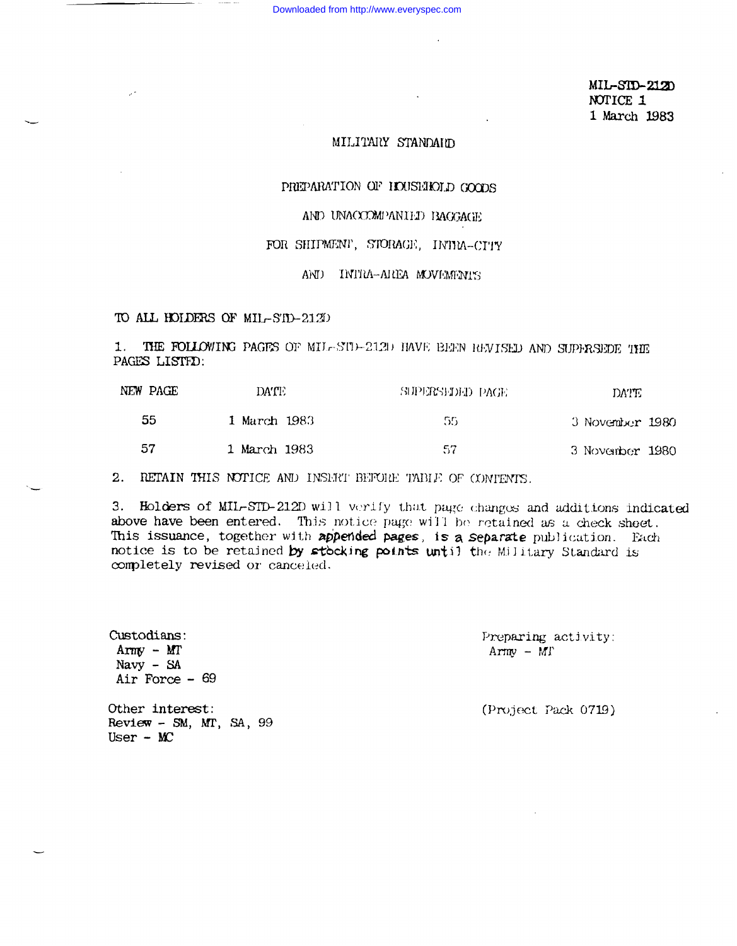MIL-SID-2120 NOTICE 1 1 March 1983

# MILITARY STANDARD

# PREPARATION OF HOUSEHOLD GOODS

## AND UNACCOMPANIED BAGGAGE

### FOR SHIPMENT, STORAGE, INTRA-CITY

## AND INITIA-AREA MOVEMENTS

#### TO ALL HOLDERS OF MIL-STD-2120

1. THE FOLLOWING PAGES OF MIL-SUP-212D HAVE BEEN REVISED AND SUPERSEDE THE PAGES LISTED.

| NEW PAGE | DA'TE        | SUPERSHIED PACE | DATE.           |
|----------|--------------|-----------------|-----------------|
| 55       | 1 March 1983 | 55              | 3 November 1980 |
| 57       | 1 March 1983 | 57              | 3 November 1980 |

2. RETAIN THIS NOTICE AND INSERT BEFORE TABLE OF CONTENTS.

3. Holders of MIL-STD-212D will verify that page changes and additions indicated above have been entered. This notice page will be retained as a check sheet. This issuance, together with appended pages, is a separate publication. Each notice is to be retained by stocking points until the Military Standard is completely revised or canceled.

> Preparing activity:  $Army - MT$

Other interest: Review - SM, MT, SA,  $99$ User -  $MC$ 

Custodians:

Army -  $MT$ 

Navy  $-$  SA Air Force  $-69$ 

(Project Pack 0719)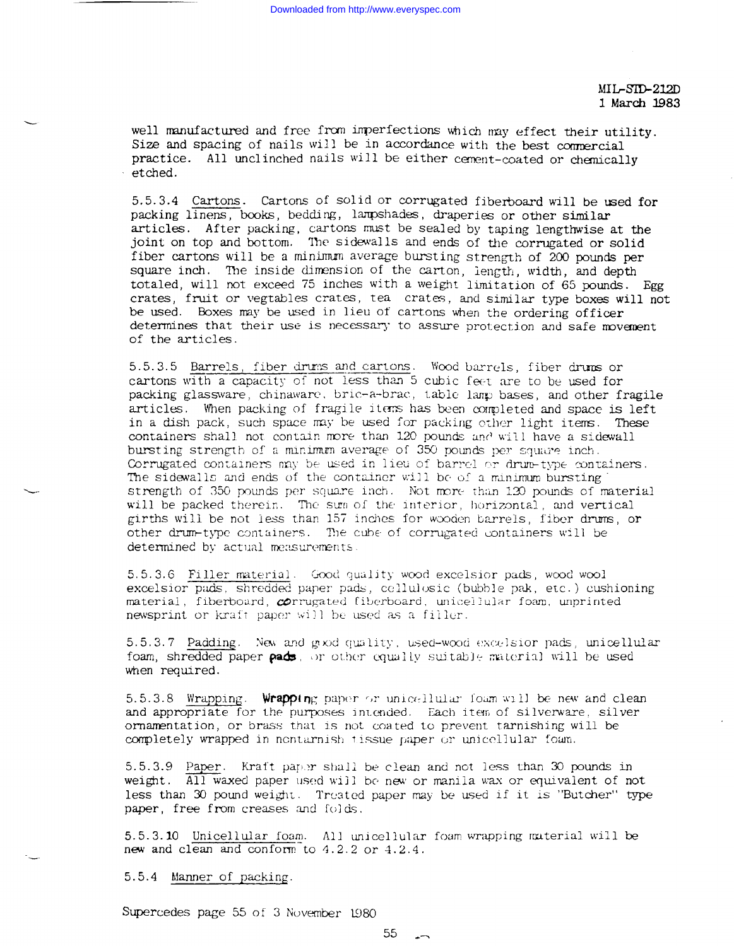$MIL-SID-21.2D$ 1 March 1983

well manufactured and free from imperfections which may effect their utility. Size and spacing of nails will be in accordance with the best commercial practice. All unclinched nails will be either cement-coated or chemically etched.

5.5.3.4 Cartons. Cartons of solid or corrugated fiberboard will be used for packing linens, books, bedding, lampshades, draperies or other similar articles. After packing, cartons must be sealed by taping lengthwise at the joint on top and bottom. The sidewalls and ends of the corrugated or solid fiber cartons will be a minimum average bursting strength of 200 pounds per square inch. The inside dimension of the carton, length, width, and depth totaled, will not exceed 75 inches with a weight limitation of 65 pounds. Egg crates, fruit or vegtables crates, tea crates, and similar type boxes will not be used. Boxes may be used in lieu of cartons when the ordering officer determines that their use is necessary to assure protection and safe movement of the articles.

5.5.3.5 Barrels, fiber drums and cartons. Wood barrels, fiber drums or cartons with a capacity of not less than 5 cubic feet are to be used for packing glassware, chinaware, bric-a-brac, table lanp bases, and other fragile articles. When packing of fragile items has been completed and space is left in a dish pack, such space may be used for packing other light items. These containers shall not contain more than 120 pounds and will have a sidewall bursting strength of a minimum average of 350 pounds per square inch. Corrugated containers may be used in lieu of barrel or drum-type containers. The sidewalls and ends of the container will be of a minimum bursting" strength of 350 pounds per square inch. Not more than 120 pounds of material will be packed therein. The sum of the interior, horizontal, and vertical girths will be not less than 157 inches for wooden barrels, fiber drums, or other drum-type containers. The cube of corrugated containers will be determined by actual measurements.

5.5.3.6 Filler material. Good quality wood excelsior pads, wood wool excelsior pads, shredded paper pads, ccllulosic (bubble pak, etc.) cushioning material, fiberboard, corrugated fiberboard, unicellular foam, unprinted newsprint or kraft paper will be used as a filler.

5.5.3.7 Padding. New and good quality, used-wood excelsior pads, unicellular foam, shredded paper pads, or other equally suitable material will be used when required.

5.5.3.8 Wrapping. Wrapping paper or unicellular foam will be new and clean and appropriate for the purposes intended. Each item of silverware, silver ornamentation, or brass that is not coated to prevent tarnishing will be completely wrapped in nontarnish tissue paper or uniccllular foam.

5.5.3.9 Paper. Kraft paper shall be clean and not less than 30 pounds in weight. All waxed paper used will be new or manila wax or equivalent of not less than 30 pound weight. Treated paper may be used if it is "Butcher" type paper, free from creases and folds.

5.5.3.10 Unicellular foam. All unicellular foam wrapping material will be new and clean and confom-to 4.2.2 **or** 4.2.4.

5.5.4 Manner of packing.

L

 $\overline{\phantom{0}}$ 

-—

Supercedes page 55 of 3 November 1980